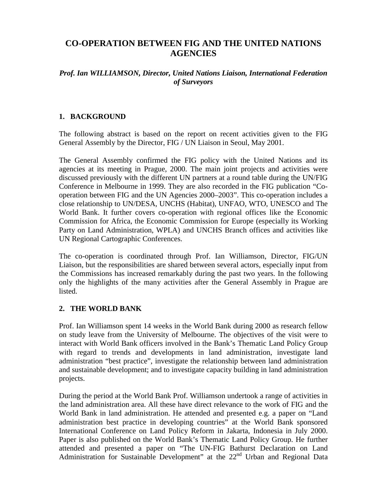# **CO-OPERATION BETWEEN FIG AND THE UNITED NATIONS AGENCIES**

#### *Prof. Ian WILLIAMSON, Director, United Nations Liaison, International Federation of Surveyors*

### **1. BACKGROUND**

The following abstract is based on the report on recent activities given to the FIG General Assembly by the Director, FIG / UN Liaison in Seoul, May 2001.

The General Assembly confirmed the FIG policy with the United Nations and its agencies at its meeting in Prague, 2000. The main joint projects and activities were discussed previously with the different UN partners at a round table during the UN/FIG Conference in Melbourne in 1999. They are also recorded in the FIG publication "Cooperation between FIG and the UN Agencies 2000–2003". This co-operation includes a close relationship to UN/DESA, UNCHS (Habitat), UNFAO, WTO, UNESCO and The World Bank. It further covers co-operation with regional offices like the Economic Commission for Africa, the Economic Commission for Europe (especially its Working Party on Land Administration, WPLA) and UNCHS Branch offices and activities like UN Regional Cartographic Conferences.

The co-operation is coordinated through Prof. Ian Williamson, Director, FIG/UN Liaison, but the responsibilities are shared between several actors, especially input from the Commissions has increased remarkably during the past two years. In the following only the highlights of the many activities after the General Assembly in Prague are listed.

### **2. THE WORLD BANK**

Prof. Ian Williamson spent 14 weeks in the World Bank during 2000 as research fellow on study leave from the University of Melbourne. The objectives of the visit were to interact with World Bank officers involved in the Bank's Thematic Land Policy Group with regard to trends and developments in land administration, investigate land administration "best practice", investigate the relationship between land administration and sustainable development; and to investigate capacity building in land administration projects.

During the period at the World Bank Prof. Williamson undertook a range of activities in the land administration area. All these have direct relevance to the work of FIG and the World Bank in land administration. He attended and presented e.g. a paper on "Land administration best practice in developing countries" at the World Bank sponsored International Conference on Land Policy Reform in Jakarta, Indonesia in July 2000. Paper is also published on the World Bank's Thematic Land Policy Group. He further attended and presented a paper on "The UN-FIG Bathurst Declaration on Land Administration for Sustainable Development" at the  $22<sup>nd</sup>$  Urban and Regional Data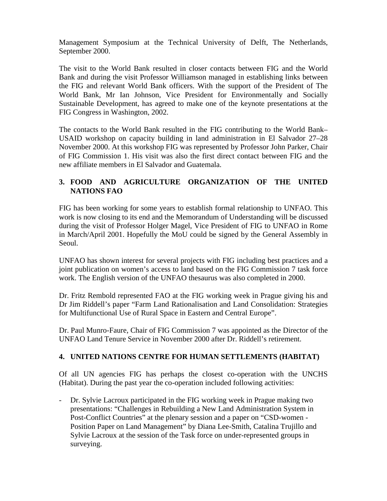Management Symposium at the Technical University of Delft, The Netherlands, September 2000.

The visit to the World Bank resulted in closer contacts between FIG and the World Bank and during the visit Professor Williamson managed in establishing links between the FIG and relevant World Bank officers. With the support of the President of The World Bank, Mr Ian Johnson, Vice President for Environmentally and Socially Sustainable Development, has agreed to make one of the keynote presentations at the FIG Congress in Washington, 2002.

The contacts to the World Bank resulted in the FIG contributing to the World Bank– USAID workshop on capacity building in land administration in El Salvador 27–28 November 2000. At this workshop FIG was represented by Professor John Parker, Chair of FIG Commission 1. His visit was also the first direct contact between FIG and the new affiliate members in El Salvador and Guatemala.

## **3. FOOD AND AGRICULTURE ORGANIZATION OF THE UNITED NATIONS FAO**

FIG has been working for some years to establish formal relationship to UNFAO. This work is now closing to its end and the Memorandum of Understanding will be discussed during the visit of Professor Holger Magel, Vice President of FIG to UNFAO in Rome in March/April 2001. Hopefully the MoU could be signed by the General Assembly in Seoul.

UNFAO has shown interest for several projects with FIG including best practices and a joint publication on women's access to land based on the FIG Commission 7 task force work. The English version of the UNFAO thesaurus was also completed in 2000.

Dr. Fritz Rembold represented FAO at the FIG working week in Prague giving his and Dr Jim Riddell's paper "Farm Land Rationalisation and Land Consolidation: Strategies for Multifunctional Use of Rural Space in Eastern and Central Europe".

Dr. Paul Munro-Faure, Chair of FIG Commission 7 was appointed as the Director of the UNFAO Land Tenure Service in November 2000 after Dr. Riddell's retirement.

# **4. UNITED NATIONS CENTRE FOR HUMAN SETTLEMENTS (HABITAT)**

Of all UN agencies FIG has perhaps the closest co-operation with the UNCHS (Habitat). During the past year the co-operation included following activities:

- Dr. Sylvie Lacroux participated in the FIG working week in Prague making two presentations: "Challenges in Rebuilding a New Land Administration System in Post-Conflict Countries" at the plenary session and a paper on "CSD-women - Position Paper on Land Management" by Diana Lee-Smith, Catalina Trujillo and Sylvie Lacroux at the session of the Task force on under-represented groups in surveying.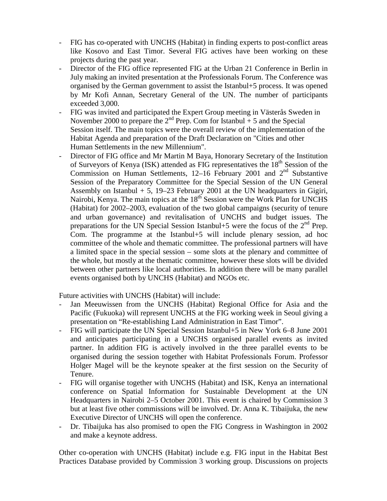- FIG has co-operated with UNCHS (Habitat) in finding experts to post-conflict areas like Kosovo and East Timor. Several FIG actives have been working on these projects during the past year.
- Director of the FIG office represented FIG at the Urban 21 Conference in Berlin in July making an invited presentation at the Professionals Forum. The Conference was organised by the German government to assist the Istanbul+5 process. It was opened by Mr Kofi Annan, Secretary General of the UN. The number of participants exceeded 3,000.
- FIG was invited and participated the Expert Group meeting in Västerås Sweden in November 2000 to prepare the  $2<sup>nd</sup>$  Prep. Com for Istanbul + 5 and the Special Session itself. The main topics were the overall review of the implementation of the Habitat Agenda and preparation of the Draft Declaration on "Cities and other Human Settlements in the new Millennium".
- Director of FIG office and Mr Martin M Baya, Honorary Secretary of the Institution of Surveyors of Kenya (ISK) attended as FIG representatives the 18<sup>th</sup> Session of the Commission on Human Settlements,  $12-16$  February 2001 and  $2<sup>nd</sup>$  Substantive Session of the Preparatory Committee for the Special Session of the UN General Assembly on Istanbul + 5, 19–23 February 2001 at the UN headquarters in Gigiri, Nairobi, Kenya. The main topics at the 18<sup>th</sup> Session were the Work Plan for UNCHS (Habitat) for 2002–2003, evaluation of the two global campaigns (security of tenure and urban governance) and revitalisation of UNCHS and budget issues. The preparations for the UN Special Session Istanbul+5 were the focus of the  $2<sup>nd</sup>$  Prep. Com. The programme at the Istanbul+5 will include plenary session, ad hoc committee of the whole and thematic committee. The professional partners will have a limited space in the special session – some slots at the plenary and committee of the whole, but mostly at the thematic committee, however these slots will be divided between other partners like local authorities. In addition there will be many parallel events organised both by UNCHS (Habitat) and NGOs etc.

Future activities with UNCHS (Habitat) will include:

- Jan Meeuwissen from the UNCHS (Habitat) Regional Office for Asia and the Pacific (Fukuoka) will represent UNCHS at the FIG working week in Seoul giving a presentation on "Re-establishing Land Administration in East Timor".
- FIG will participate the UN Special Session Istanbul+5 in New York 6–8 June 2001 and anticipates participating in a UNCHS organised parallel events as invited partner. In addition FIG is actively involved in the three parallel events to be organised during the session together with Habitat Professionals Forum. Professor Holger Magel will be the keynote speaker at the first session on the Security of Tenure.
- FIG will organise together with UNCHS (Habitat) and ISK, Kenya an international conference on Spatial Information for Sustainable Development at the UN Headquarters in Nairobi 2–5 October 2001. This event is chaired by Commission 3 but at least five other commissions will be involved. Dr. Anna K. Tibaijuka, the new Executive Director of UNCHS will open the conference.
- Dr. Tibaijuka has also promised to open the FIG Congress in Washington in 2002 and make a keynote address.

Other co-operation with UNCHS (Habitat) include e.g. FIG input in the Habitat Best Practices Database provided by Commission 3 working group. Discussions on projects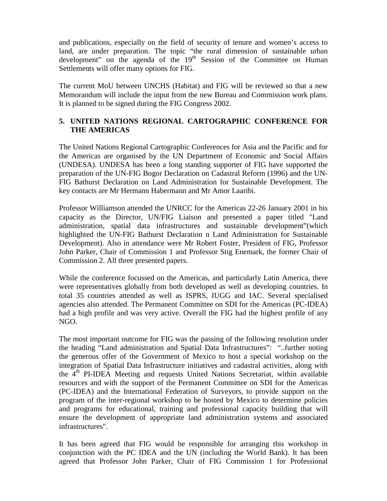and publications, especially on the field of security of tenure and women's access to land, are under preparation. The topic "the rural dimension of sustainable urban development" on the agenda of the  $19<sup>th</sup>$  Session of the Committee on Human Settlements will offer many options for FIG.

The current MoU between UNCHS (Habitat) and FIG will be reviewed so that a new Memorandum will include the input from the new Bureau and Commission work plans. It is planned to be signed during the FIG Congress 2002.

### **5. UNITED NATIONS REGIONAL CARTOGRAPHIC CONFERENCE FOR THE AMERICAS**

The United Nations Regional Cartographic Conferences for Asia and the Pacific and for the Americas are organised by the UN Department of Economic and Social Affairs (UNDESA). UNDESA has been a long standing supporter of FIG have supported the preparation of the UN-FIG Bogor Declaration on Cadastral Reform (1996) and the UN-FIG Bathurst Declaration on Land Administration for Sustainable Development. The key contacts are Mr Hermann Habermann and Mr Amor Laaribi.

Professor Williamson attended the UNRCC for the Americas 22-26 January 2001 in his capacity as the Director, UN/FIG Liaison and presented a paper titled "Land administration, spatial data infrastructures and sustainable development"(which highlighted the UN-FIG Bathurst Declaration n Land Administration for Sustainable Development). Also in attendance were Mr Robert Foster, President of FIG, Professor John Parker, Chair of Commission 1 and Professor Stig Enemark, the former Chair of Commission 2. All three presented papers.

While the conference focussed on the Americas, and particularly Latin America, there were representatives globally from both developed as well as developing countries. In total 35 countries attended as well as ISPRS, IUGG and IAC. Several specialised agencies also attended. The Permanent Committee on SDI for the Americas (PC-IDEA) had a high profile and was very active. Overall the FIG had the highest profile of any NGO.

The most important outcome for FIG was the passing of the following resolution under the heading "Land administration and Spatial Data Infrastructures": "..further noting the generous offer of the Government of Mexico to host a special workshop on the integration of Spatial Data Infrastructure initiatives and cadastral activities, along with the  $4<sup>th</sup>$  PI-IDEA Meeting and requests United Nations Secretariat, within available resources and with the support of the Permanent Committee on SDI for the Americas (PC-IDEA) and the International Federation of Surveyors, to provide support on the program of the inter-regional workshop to be hosted by Mexico to determine policies and programs for educational, training and professional capacity building that will ensure the development of appropriate land administration systems and associated infrastructures".

It has been agreed that FIG would be responsible for arranging this workshop in conjunction with the PC IDEA and the UN (including the World Bank). It has been agreed that Professor John Parker, Chair of FIG Commission 1 for Professional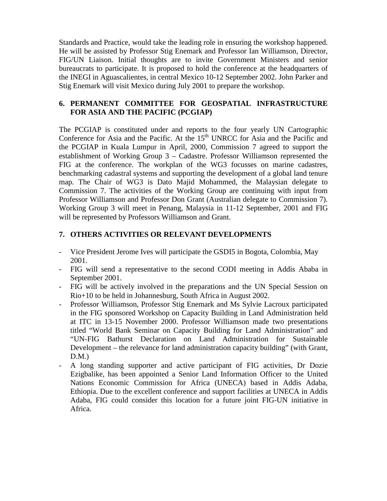Standards and Practice, would take the leading role in ensuring the workshop happened. He will be assisted by Professor Stig Enemark and Professor Ian Williamson, Director, FIG/UN Liaison. Initial thoughts are to invite Government Ministers and senior bureaucrats to participate. It is proposed to hold the conference at the headquarters of the INEGI in Aguascalientes, in central Mexico 10-12 September 2002. John Parker and Stig Enemark will visit Mexico during July 2001 to prepare the workshop.

#### **6. PERMANENT COMMITTEE FOR GEOSPATIAL INFRASTRUCTURE FOR ASIA AND THE PACIFIC (PCGIAP)**

The PCGIAP is constituted under and reports to the four yearly UN Cartographic Conference for Asia and the Pacific. At the  $15<sup>th</sup>$  UNRCC for Asia and the Pacific and the PCGIAP in Kuala Lumpur in April, 2000, Commission 7 agreed to support the establishment of Working Group 3 – Cadastre. Professor Williamson represented the FIG at the conference. The workplan of the WG3 focusses on marine cadastres, benchmarking cadastral systems and supporting the development of a global land tenure map. The Chair of WG3 is Dato Majid Mohammed, the Malaysian delegate to Commission 7. The activities of the Working Group are continuing with input from Professor Williamson and Professor Don Grant (Australian delegate to Commission 7). Working Group 3 will meet in Penang, Malaysia in 11-12 September, 2001 and FIG will be represented by Professors Williamson and Grant.

## **7. OTHERS ACTIVITIES OR RELEVANT DEVELOPMENTS**

- Vice President Jerome Ives will participate the GSDI5 in Bogota, Colombia, May 2001.
- FIG will send a representative to the second CODI meeting in Addis Ababa in September 2001.
- FIG will be actively involved in the preparations and the UN Special Session on Rio+10 to be held in Johannesburg, South Africa in August 2002.
- Professor Williamson, Professor Stig Enemark and Ms Sylvie Lacroux participated in the FIG sponsored Workshop on Capacity Building in Land Administration held at ITC in 13-15 November 2000. Professor Williamson made two presentations titled "World Bank Seminar on Capacity Building for Land Administration" and "UN-FIG Bathurst Declaration on Land Administration for Sustainable Development – the relevance for land administration capacity building" (with Grant,  $D.M.$ )
- A long standing supporter and active participant of FIG activities, Dr Dozie Ezigbalike, has been appointed a Senior Land Information Officer to the United Nations Economic Commission for Africa (UNECA) based in Addis Adaba, Ethiopia. Due to the excellent conference and support facilities at UNECA in Addis Adaba, FIG could consider this location for a future joint FIG-UN initiative in Africa.